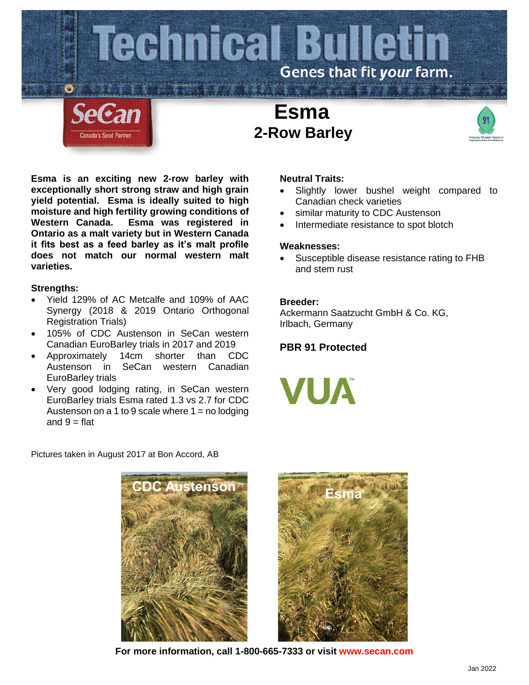

**Esma is an exciting new 2-row barley with exceptionally short strong straw and high grain yield potential. Esma is ideally suited to high moisture and high fertility growing conditions of Western Canada. Esma was registered in Ontario as a malt variety but in Western Canada it fits best as a feed barley as it's malt profile does not match our normal western malt varieties.**

### **Strengths:**

- Yield 129% of AC Metcalfe and 109% of AAC Synergy (2018 & 2019 Ontario Orthogonal Registration Trials)
- 105% of CDC Austenson in SeCan western Canadian EuroBarley trials in 2017 and 2019
- Approximately 14cm shorter than CDC Austenson in SeCan western Canadian EuroBarley trials
- Very good lodging rating, in SeCan western EuroBarley trials Esma rated 1.3 vs 2.7 for CDC Austenson on a 1 to 9 scale where  $1 =$  no lodging and  $9 = \text{flat}$

Pictures taken in August 2017 at Bon Accord, AB

## **Neutral Traits:**

- Slightly lower bushel weight compared to Canadian check varieties
- similar maturity to CDC Austenson
- Intermediate resistance to spot blotch

### **Weaknesses:**

Susceptible disease resistance rating to FHB and stem rust

# **Breeder:**

Ackermann Saatzucht GmbH & Co. KG, Irlbach, Germany

# **PBR 91 Protected**







**For more information, call 1-800-665-7333 or visit www.secan.com**